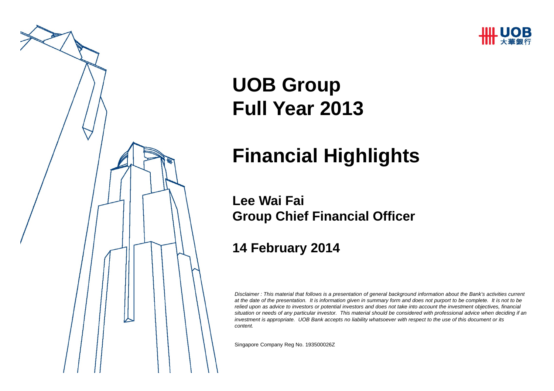



# **UOB Group Full Year 2013**

## **Financial Highlights**

#### **Lee Wai FaiGroup Chief Financial Officer**

#### **14 February 2014**

*Disclaimer : This material that follows is a presentation of general background information about the Bank's activities current at the date of the presentation. It is information given in summary form and does not purport to be complete. It is not to be relied upon as advice to investors or potential investors and does not take into account the investment objectives, financial situation or needs of any particular investor. This material should be considered with professional advice when deciding if an investment is appropriate. UOB Bank accepts no liability whatsoever with respect to the use of this document or its content.*

Singapore Company Reg No. 193500026Z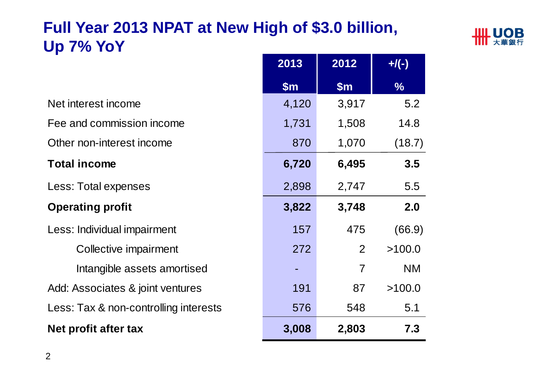## **Full Year 2013 NPAT at New High of \$3.0 billion, Up 7% YoY**



|                                       | 2013  | 2012           | $+$ /(-)      |
|---------------------------------------|-------|----------------|---------------|
|                                       | \$m\$ | \$m\$          | $\frac{0}{6}$ |
| Net interest income                   | 4,120 | 3,917          | 5.2           |
| Fee and commission income             | 1,731 | 1,508          | 14.8          |
| Other non-interest income             | 870   | 1,070          | (18.7)        |
| <b>Total income</b>                   | 6,720 | 6,495          | 3.5           |
| Less: Total expenses                  | 2,898 | 2,747          | 5.5           |
| <b>Operating profit</b>               | 3,822 | 3,748          | 2.0           |
| Less: Individual impairment           | 157   | 475            | (66.9)        |
| Collective impairment                 | 272   | 2              | >100.0        |
| Intangible assets amortised           |       | $\overline{7}$ | <b>NM</b>     |
| Add: Associates & joint ventures      | 191   | 87             | >100.0        |
| Less: Tax & non-controlling interests | 576   | 548            | 5.1           |
| Net profit after tax                  | 3,008 | 2,803          | 7.3           |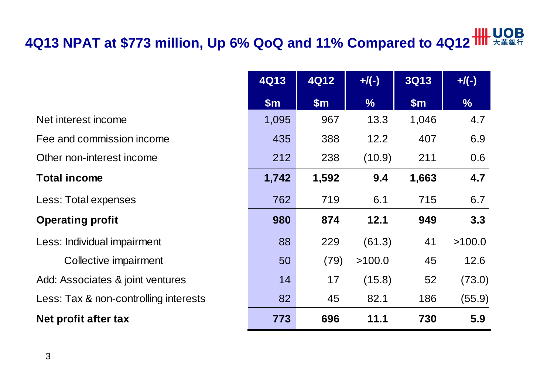# **4Q13 NPAT at \$773 million, Up 6% QoQ and 11% Compared to 4Q12**

|                                       | <b>4Q13</b>   | <b>4Q12</b> | $+$ /(-)      | <b>3Q13</b> | $+$ /(-)      |
|---------------------------------------|---------------|-------------|---------------|-------------|---------------|
|                                       | $\mathsf{Sm}$ | \$m\$       | $\frac{9}{6}$ | \$m\$       | $\frac{9}{6}$ |
| Net interest income                   | 1,095         | 967         | 13.3          | 1,046       | 4.7           |
| Fee and commission income             | 435           | 388         | 12.2          | 407         | 6.9           |
| Other non-interest income             | 212           | 238         | (10.9)        | 211         | 0.6           |
| <b>Total income</b>                   | 1,742         | 1,592       | 9.4           | 1,663       | 4.7           |
| Less: Total expenses                  | 762           | 719         | 6.1           | 715         | 6.7           |
| <b>Operating profit</b>               | 980           | 874         | 12.1          | 949         | 3.3           |
| Less: Individual impairment           | 88            | 229         | (61.3)        | 41          | >100.0        |
| Collective impairment                 | 50            | (79)        | >100.0        | 45          | 12.6          |
| Add: Associates & joint ventures      | 14            | 17          | (15.8)        | 52          | (73.0)        |
| Less: Tax & non-controlling interests | 82            | 45          | 82.1          | 186         | (55.9)        |
| Net profit after tax                  | 773           | 696         | 11.1          | 730         | 5.9           |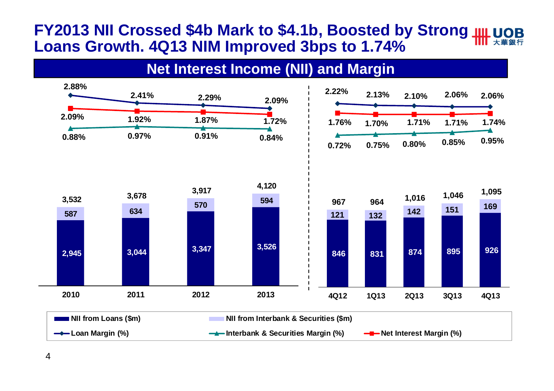#### **FY2013 NII Crossed \$4b Mark to \$4.1b, Boosted by Strong Loans Growth. 4Q13 NIM Improved 3bps to 1.74%**

#### **Net Interest Income (NII) and Margin**



4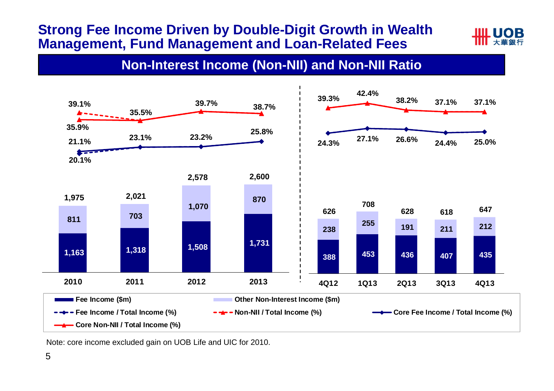#### **Strong Fee Income Driven by Double-Digit Growth in Wealth Management, Fund Management and Loan-Related Fees**



#### **Non-Interest Income (Non-NII) and Non-NII Ratio**



Note: core income excluded gain on UOB Life and UIC for 2010.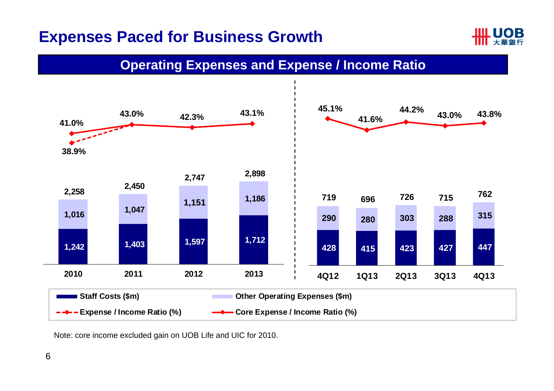#### **Expenses Paced for Business Growth**



#### **Operating Expenses and Expense / Income Ratio**



Note: core income excluded gain on UOB Life and UIC for 2010.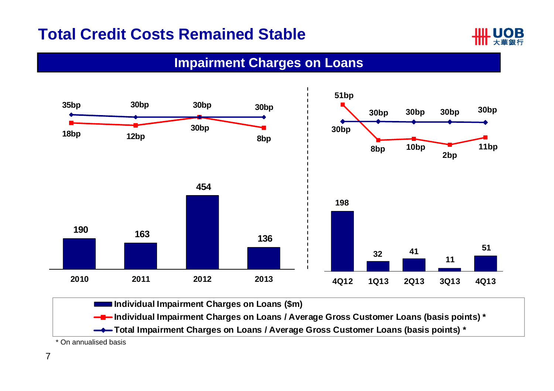#### **Total Credit Costs Remained Stable**



#### **Impairment Charges on Loans**



\* On annualised basis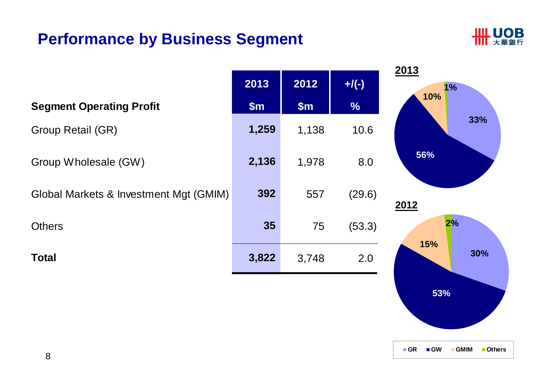#### **Performance by Business Segment**



**53%**

**GR GW GMIM Others**

|                                        |       |       |               | 2013       |
|----------------------------------------|-------|-------|---------------|------------|
|                                        | 2013  | 2012  | $+$ /(-)      | 1%<br>10%  |
| <b>Segment Operating Profit</b>        | \$m\$ | \$m\$ | $\frac{9}{6}$ |            |
| <b>Group Retail (GR)</b>               | 1,259 | 1,138 | 10.6          | 33%        |
| Group Wholesale (GW)                   | 2,136 | 1,978 | 8.0           | 56%        |
| Global Markets & Investment Mgt (GMIM) | 392   | 557   | (29.6)        | 2012       |
| <b>Others</b>                          | 35    | 75    | (53.3)        | 2%         |
| <b>Total</b>                           | 3,822 | 3,748 | 2.0           | 15%<br>30% |
|                                        |       |       |               |            |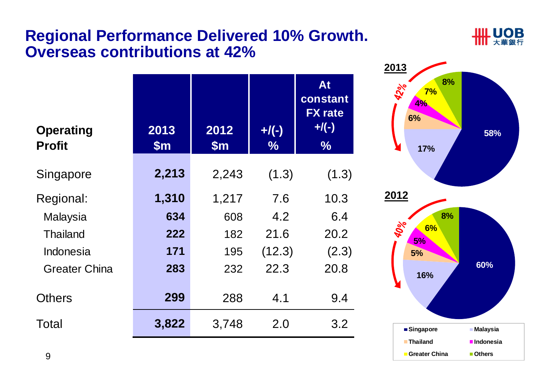#### **Regional Performance Delivered 10% Growth. Overseas contributions at 42%**



| <b>Operating</b><br><b>Profit</b> | 2013<br>$\mathsf{Sm}$ | 2012<br>$\mathsf{Sm}$ | $+$ /(-)<br>$\%$ | At<br>constant<br><b>FX</b> rate<br>$+$ /(-)<br>$\%$ |
|-----------------------------------|-----------------------|-----------------------|------------------|------------------------------------------------------|
| Singapore                         | 2,213                 | 2,243                 | (1.3)            | (1.3)                                                |
| Regional:                         | 1,310                 | 1,217                 | 7.6              | 10.3                                                 |
| Malaysia                          | 634                   | 608                   | 4.2              | 6.4                                                  |
| <b>Thailand</b>                   | 222                   | 182                   | 21.6             | 20.2                                                 |
| Indonesia                         | 171                   | 195                   | (12.3)           | (2.3)                                                |
| <b>Greater China</b>              | 283                   | 232                   | 22.3             | 20.8                                                 |
| <b>Others</b>                     | 299                   | 288                   | 4.1              | 9.4                                                  |
| Total                             | 3,822                 | 3,748                 | 2.0              | 3.2                                                  |

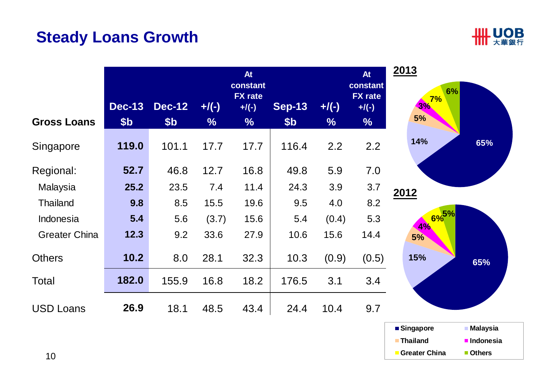## **Steady Loans Growth**



|                      | <b>Dec-13</b>   | <b>Dec-12</b> | $+$ /(-)      | <b>At</b><br>constant<br><b>FX</b> rate<br>$+$ /(-) | <b>Sep-13</b>   | $+$ /(-)      | <b>At</b><br>constant<br><b>FX</b> rate<br>$+$ /(-) | 2013<br>6%<br>7%<br>3% |
|----------------------|-----------------|---------------|---------------|-----------------------------------------------------|-----------------|---------------|-----------------------------------------------------|------------------------|
| <b>Gross Loans</b>   | \$ <sub>b</sub> | \$b           | $\frac{0}{6}$ | $\frac{0}{6}$                                       | \$ <sub>b</sub> | $\frac{0}{6}$ | $\frac{9}{6}$                                       | 5%                     |
| Singapore            | 119.0           | 101.1         | 17.7          | 17.7                                                | 116.4           | 2.2           | 2.2                                                 | 14%<br>65%             |
| Regional:            | 52.7            | 46.8          | 12.7          | 16.8                                                | 49.8            | 5.9           | 7.0                                                 |                        |
| Malaysia             | 25.2            | 23.5          | 7.4           | 11.4                                                | 24.3            | 3.9           | 3.7                                                 | 2012                   |
| <b>Thailand</b>      | 9.8             | 8.5           | 15.5          | 19.6                                                | 9.5             | 4.0           | 8.2                                                 |                        |
| Indonesia            | 5.4             | 5.6           | (3.7)         | 15.6                                                | 5.4             | (0.4)         | 5.3                                                 | $6\%^{5\%}$<br>4%      |
| <b>Greater China</b> | 12.3            | 9.2           | 33.6          | 27.9                                                | 10.6            | 15.6          | 14.4                                                | <b>5%</b>              |
| <b>Others</b>        | 10.2            | 8.0           | 28.1          | 32.3                                                | 10.3            | (0.9)         | (0.5)                                               | 15%<br>65%             |
| Total                | 182.0           | 155.9         | 16.8          | 18.2                                                | 176.5           | 3.1           | 3.4                                                 |                        |
| <b>USD Loans</b>     | 26.9            | 18.1          | 48.5          | 43.4                                                | 24.4            | 10.4          | 9.7                                                 |                        |

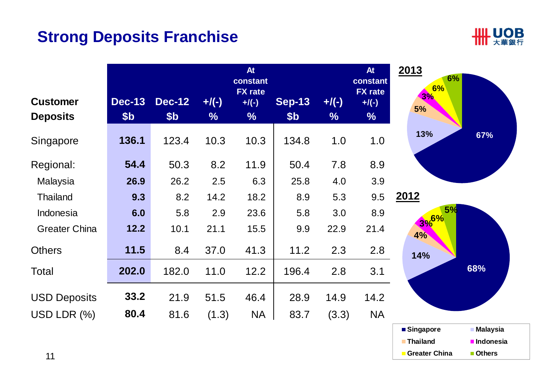#### **Strong Deposits Franchise**



|                                    |                      |                                  |                           | <b>At</b><br>constant<br><b>FX</b> rate |                        |                           | <b>At</b><br>constant<br><b>FX</b> rate | 2013<br>6%<br>6% |
|------------------------------------|----------------------|----------------------------------|---------------------------|-----------------------------------------|------------------------|---------------------------|-----------------------------------------|------------------|
| <b>Customer</b><br><b>Deposits</b> | <b>Dec-13</b><br>\$b | <b>Dec-12</b><br>\$ <sub>b</sub> | $+$ /(-)<br>$\frac{1}{2}$ | $+$ /(-)<br>$\frac{9}{6}$               | <b>Sep-13</b><br>\$b\$ | $+$ /(-)<br>$\frac{0}{0}$ | $+$ /(-)<br>%                           | 3%<br>5%         |
| Singapore                          | 136.1                | 123.4                            | 10.3                      | 10.3                                    | 134.8                  | 1.0                       | 1.0                                     | 13%<br>67%       |
| Regional:                          | 54.4                 | 50.3                             | 8.2                       | 11.9                                    | 50.4                   | 7.8                       | 8.9                                     |                  |
| Malaysia                           | 26.9                 | 26.2                             | 2.5                       | 6.3                                     | 25.8                   | 4.0                       | 3.9                                     |                  |
| <b>Thailand</b>                    | 9.3                  | 8.2                              | 14.2                      | 18.2                                    | 8.9                    | 5.3                       | 9.5                                     | 2012             |
| Indonesia                          | 6.0                  | 5.8                              | 2.9                       | 23.6                                    | 5.8                    | 3.0                       | 8.9                                     | 5%<br>3%6%       |
| <b>Greater China</b>               | 12.2                 | 10.1                             | 21.1                      | 15.5                                    | 9.9                    | 22.9                      | 21.4                                    | $4\%$            |
| <b>Others</b>                      | 11.5                 | 8.4                              | 37.0                      | 41.3                                    | 11.2                   | 2.3                       | 2.8                                     | 14%              |
| Total                              | 202.0                | 182.0                            | 11.0                      | 12.2                                    | 196.4                  | 2.8                       | 3.1                                     | 68%              |
| <b>USD Deposits</b>                | 33.2                 | 21.9                             | 51.5                      | 46.4                                    | 28.9                   | 14.9                      | 14.2                                    |                  |
| USD LDR $(%)$                      | 80.4                 | 81.6                             | (1.3)                     | <b>NA</b>                               | 83.7                   | (3.3)                     | <b>NA</b>                               |                  |

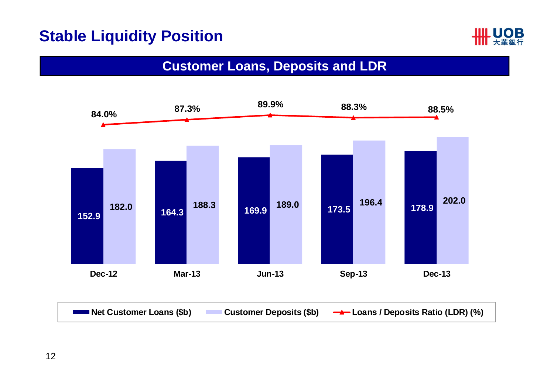#### **Stable Liquidity Position**



#### **Customer Loans, Deposits and LDR**

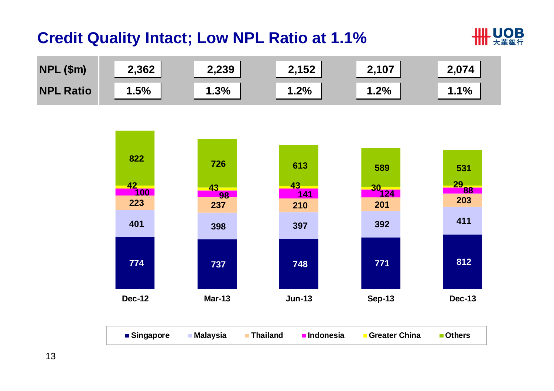## **Credit Quality Intact; Low NPL Ratio at 1.1%**





| ■Singapore | <b>∣Malaysia</b> | <b>Thailand</b> | <b>u</b> Indonesia | <b>Greater China</b> | ■ Others |  |
|------------|------------------|-----------------|--------------------|----------------------|----------|--|
|            |                  |                 |                    |                      |          |  |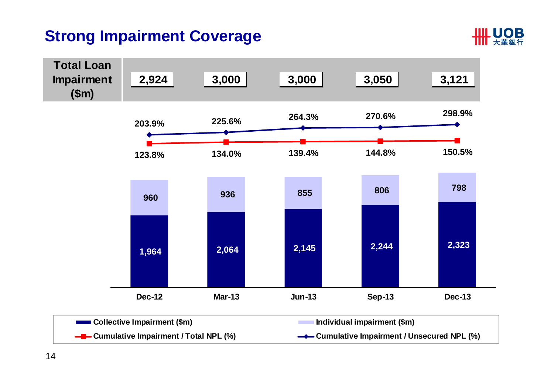## **Strong Impairment Coverage**



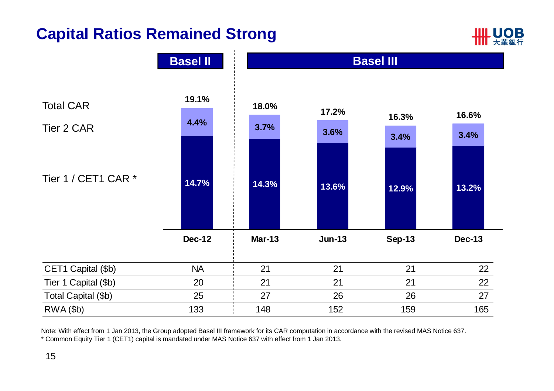## **Capital Ratios Remained Strong**





Note: With effect from 1 Jan 2013, the Group adopted Basel III framework for its CAR computation in accordance with the revised MAS Notice 637. \* Common Equity Tier 1 (CET1) capital is mandated under MAS Notice 637 with effect from 1 Jan 2013.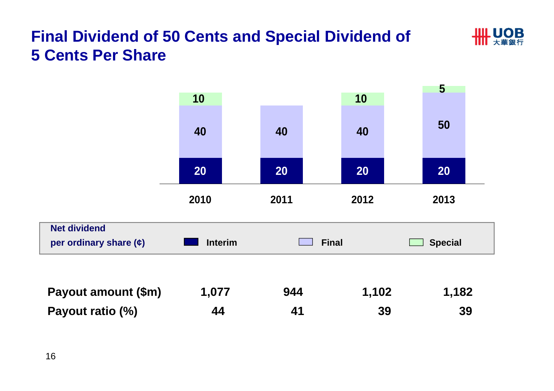## **Final Dividend of 50 Cents and Special Dividend of 5 Cents Per Share**



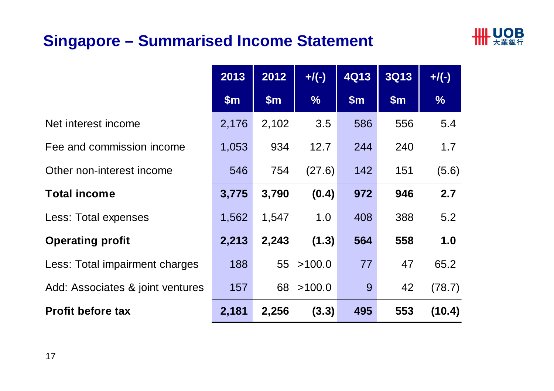## **Singapore – Summarised Income Statement**



|                                  | 2013  | 2012  | $+$ /(-)      | <b>4Q13</b> | <b>3Q13</b> | $+/(-)$       |
|----------------------------------|-------|-------|---------------|-------------|-------------|---------------|
|                                  | \$m\$ | \$m\$ | $\frac{9}{6}$ | \$m\$       | \$m\$       | $\frac{9}{6}$ |
| Net interest income              | 2,176 | 2,102 | 3.5           | 586         | 556         | 5.4           |
| Fee and commission income        | 1,053 | 934   | 12.7          | 244         | 240         | 1.7           |
| Other non-interest income        | 546   | 754   | (27.6)        | 142         | 151         | (5.6)         |
| <b>Total income</b>              | 3,775 | 3,790 | (0.4)         | 972         | 946         | 2.7           |
| Less: Total expenses             | 1,562 | 1,547 | 1.0           | 408         | 388         | 5.2           |
| <b>Operating profit</b>          | 2,213 | 2,243 | (1.3)         | 564         | 558         | 1.0           |
| Less: Total impairment charges   | 188   | 55    | >100.0        | 77          | 47          | 65.2          |
| Add: Associates & joint ventures | 157   | 68    | >100.0        | 9           | 42          | (78.7)        |
| <b>Profit before tax</b>         | 2,181 | 2,256 | (3.3)         | 495         | 553         | (10.4)        |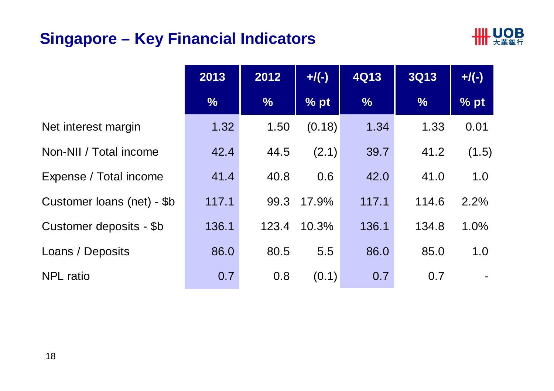## **Singapore – Key Financial Indicators**



|                            | 2013          | 2012          | $+$ /(-) | <b>4Q13</b>   | <b>3Q13</b>   | $+$ /(-) |
|----------------------------|---------------|---------------|----------|---------------|---------------|----------|
|                            | $\frac{9}{6}$ | $\frac{9}{6}$ | % pt     | $\frac{9}{6}$ | $\frac{9}{6}$ | % pt     |
| Net interest margin        | 1.32          | 1.50          | (0.18)   | 1.34          | 1.33          | 0.01     |
| Non-NII / Total income     | 42.4          | 44.5          | (2.1)    | 39.7          | 41.2          | (1.5)    |
| Expense / Total income     | 41.4          | 40.8          | 0.6      | 42.0          | 41.0          | 1.0      |
| Customer loans (net) - \$b | 117.1         | 99.3          | 17.9%    | 117.1         | 114.6         | 2.2%     |
| Customer deposits - \$b    | 136.1         | 123.4         | 10.3%    | 136.1         | 134.8         | 1.0%     |
| Loans / Deposits           | 86.0          | 80.5          | 5.5      | 86.0          | 85.0          | 1.0      |
| <b>NPL</b> ratio           | 0.7           | 0.8           | (0.1)    | 0.7           | 0.7           |          |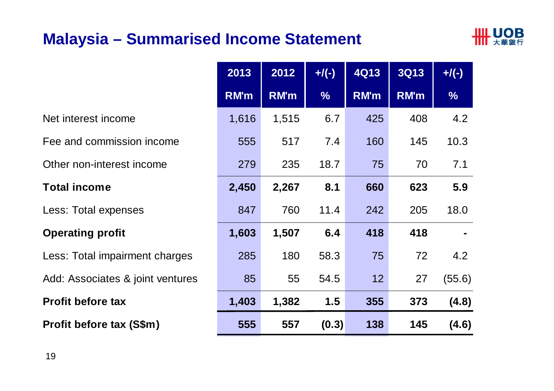### **Malaysia – Summarised Income Statement**



|                                  | 2013        | 2012        | $+/(-)$       | <b>4Q13</b> | <b>3Q13</b> | $+$ /(-)      |
|----------------------------------|-------------|-------------|---------------|-------------|-------------|---------------|
|                                  | <b>RM'm</b> | <b>RM'm</b> | $\frac{1}{2}$ | RM'm        | <b>RM'm</b> | $\frac{9}{6}$ |
| Net interest income              | 1,616       | 1,515       | 6.7           | 425         | 408         | 4.2           |
| Fee and commission income        | 555         | 517         | 7.4           | 160         | 145         | 10.3          |
| Other non-interest income        | 279         | 235         | 18.7          | 75          | 70          | 7.1           |
| <b>Total income</b>              | 2,450       | 2,267       | 8.1           | 660         | 623         | 5.9           |
| Less: Total expenses             | 847         | 760         | 11.4          | 242         | 205         | 18.0          |
| <b>Operating profit</b>          | 1,603       | 1,507       | 6.4           | 418         | 418         |               |
| Less: Total impairment charges   | 285         | 180         | 58.3          | 75          | 72          | 4.2           |
| Add: Associates & joint ventures | 85          | 55          | 54.5          | 12          | 27          | (55.6)        |
| <b>Profit before tax</b>         | 1,403       | 1,382       | 1.5           | 355         | 373         | (4.8)         |
| Profit before tax (S\$m)         | 555         | 557         | (0.3)         | 138         | 145         | (4.6)         |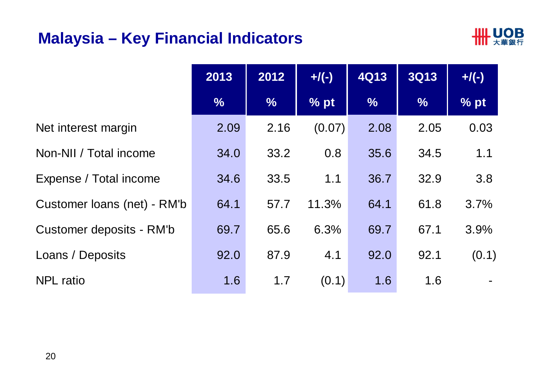#### **Malaysia – Key Financial Indicators**



|                             | 2013          | 2012          | $+$ /(-) | <b>4Q13</b>   | <b>3Q13</b>   | $+$ /(-) |
|-----------------------------|---------------|---------------|----------|---------------|---------------|----------|
|                             | $\frac{1}{2}$ | $\frac{0}{6}$ | % pt     | $\frac{9}{6}$ | $\frac{9}{6}$ | % pt     |
| Net interest margin         | 2.09          | 2.16          | (0.07)   | 2.08          | 2.05          | 0.03     |
| Non-NII / Total income      | 34.0          | 33.2          | 0.8      | 35.6          | 34.5          | 1.1      |
| Expense / Total income      | 34.6          | 33.5          | 1.1      | 36.7          | 32.9          | 3.8      |
| Customer Ioans (net) - RM'b | 64.1          | 57.7          | 11.3%    | 64.1          | 61.8          | 3.7%     |
| Customer deposits - RM'b    | 69.7          | 65.6          | 6.3%     | 69.7          | 67.1          | 3.9%     |
| Loans / Deposits            | 92.0          | 87.9          | 4.1      | 92.0          | 92.1          | (0.1)    |
| <b>NPL</b> ratio            | 1.6           | 1.7           | (0.1)    | 1.6           | 1.6           |          |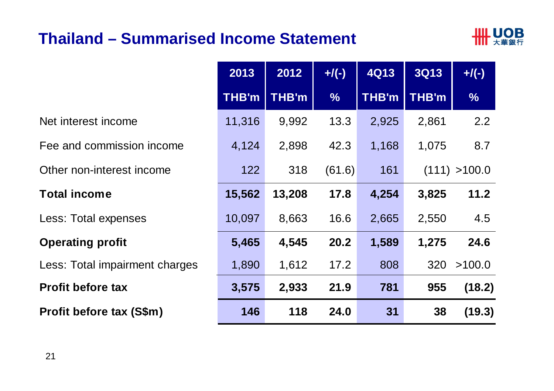#### **Thailand – Summarised Income Statement**



|                                | 2013         | 2012         | $+/(-)$       | <b>4Q13</b>  | <b>3Q13</b> | $+$ /(-)      |
|--------------------------------|--------------|--------------|---------------|--------------|-------------|---------------|
|                                | <b>THB'm</b> | <b>THB'm</b> | $\frac{9}{6}$ | <b>THB'm</b> | THB'm       | $\frac{9}{6}$ |
| Net interest income            | 11,316       | 9,992        | 13.3          | 2,925        | 2,861       | 2.2           |
| Fee and commission income      | 4,124        | 2,898        | 42.3          | 1,168        | 1,075       | 8.7           |
| Other non-interest income      | 122          | 318          | (61.6)        | 161          |             | (111) > 100.0 |
| <b>Total income</b>            | 15,562       | 13,208       | 17.8          | 4,254        | 3,825       | 11.2          |
| <b>Less: Total expenses</b>    | 10,097       | 8,663        | 16.6          | 2,665        | 2,550       | 4.5           |
| <b>Operating profit</b>        | 5,465        | 4,545        | 20.2          | 1,589        | 1,275       | 24.6          |
| Less: Total impairment charges | 1,890        | 1,612        | 17.2          | 808          | 320         | >100.0        |
| <b>Profit before tax</b>       | 3,575        | 2,933        | 21.9          | 781          | 955         | (18.2)        |
| Profit before tax (S\$m)       | 146          | 118          | 24.0          | 31           | 38          | (19.3)        |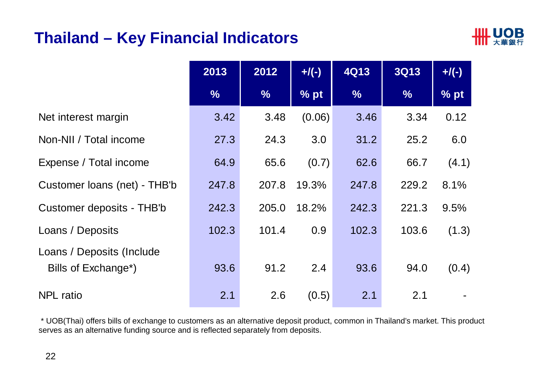#### **Thailand – Key Financial Indicators**



|                                                  | 2013          | 2012          | $+$ /(-) | <b>4Q13</b>   | <b>3Q13</b>   | $+$ /(-) |
|--------------------------------------------------|---------------|---------------|----------|---------------|---------------|----------|
|                                                  | $\frac{0}{6}$ | $\frac{9}{6}$ | % pt     | $\frac{9}{6}$ | $\frac{1}{2}$ | % pt     |
| Net interest margin                              | 3.42          | 3.48          | (0.06)   | 3.46          | 3.34          | 0.12     |
| Non-NII / Total income                           | 27.3          | 24.3          | 3.0      | 31.2          | 25.2          | 6.0      |
| Expense / Total income                           | 64.9          | 65.6          | (0.7)    | 62.6          | 66.7          | (4.1)    |
| Customer loans (net) - THB'b                     | 247.8         | 207.8         | 19.3%    | 247.8         | 229.2         | 8.1%     |
| Customer deposits - THB'b                        | 242.3         | 205.0         | 18.2%    | 242.3         | 221.3         | 9.5%     |
| Loans / Deposits                                 | 102.3         | 101.4         | 0.9      | 102.3         | 103.6         | (1.3)    |
| Loans / Deposits (Include<br>Bills of Exchange*) | 93.6          | 91.2          | 2.4      | 93.6          | 94.0          | (0.4)    |
| <b>NPL</b> ratio                                 | 2.1           | 2.6           | (0.5)    | 2.1           | 2.1           |          |

\* UOB(Thai) offers bills of exchange to customers as an alternative deposit product, common in Thailand's market. This product serves as an alternative funding source and is reflected separately from deposits.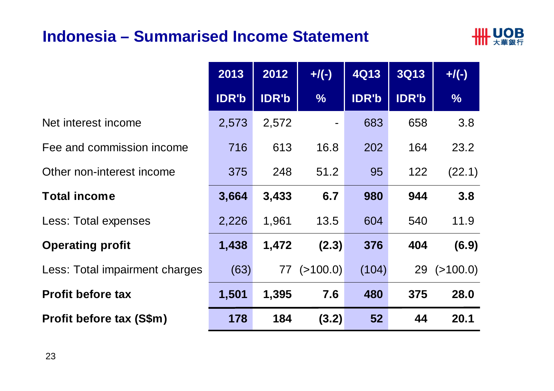#### **Indonesia – Summarised Income Statement**



|                                | 2013         | 2012         | $+$ /(-)          | <b>4Q13</b>  | <b>3Q13</b>  | $+$ /(-)          |
|--------------------------------|--------------|--------------|-------------------|--------------|--------------|-------------------|
|                                | <b>IDR'b</b> | <b>IDR'b</b> | $\frac{9}{6}$     | <b>IDR'b</b> | <b>IDR'b</b> | $\frac{9}{6}$     |
| Net interest income            | 2,573        | 2,572        |                   | 683          | 658          | 3.8               |
| Fee and commission income      | 716          | 613          | 16.8              | 202          | 164          | 23.2              |
| Other non-interest income      | 375          | 248          | 51.2              | 95           | 122          | (22.1)            |
| <b>Total income</b>            | 3,664        | 3,433        | 6.7               | 980          | 944          | 3.8               |
| Less: Total expenses           | 2,226        | 1,961        | 13.5              | 604          | 540          | 11.9              |
| <b>Operating profit</b>        | 1,438        | 1,472        | (2.3)             | 376          | 404          | (6.9)             |
| Less: Total impairment charges | (63)         |              | $77$ ( $>100.0$ ) | (104)        |              | $29$ ( $>100.0$ ) |
| <b>Profit before tax</b>       | 1,501        | 1,395        | 7.6               | 480          | 375          | 28.0              |
| Profit before tax (S\$m)       | 178          | 184          | (3.2)             | 52           | 44           | 20.1              |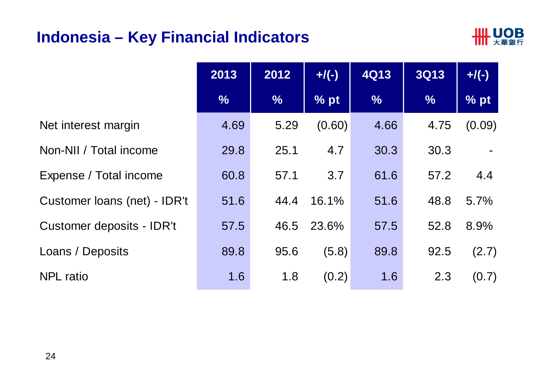#### **Indonesia – Key Financial Indicators**



|                              | 2013          | 2012          | $+$ /(-) | <b>4Q13</b>   | <b>3Q13</b>   | $+$ /(-) |
|------------------------------|---------------|---------------|----------|---------------|---------------|----------|
|                              | $\frac{9}{6}$ | $\frac{0}{6}$ | % pt     | $\frac{9}{6}$ | $\frac{9}{6}$ | % pt     |
| Net interest margin          | 4.69          | 5.29          | (0.60)   | 4.66          | 4.75          | (0.09)   |
| Non-NII / Total income       | 29.8          | 25.1          | 4.7      | 30.3          | 30.3          |          |
| Expense / Total income       | 60.8          | 57.1          | 3.7      | 61.6          | 57.2          | 4.4      |
| Customer Ioans (net) - IDR't | 51.6          | 44.4          | 16.1%    | 51.6          | 48.8          | 5.7%     |
| Customer deposits - IDR't    | 57.5          | 46.5          | 23.6%    | 57.5          | 52.8          | 8.9%     |
| Loans / Deposits             | 89.8          | 95.6          | (5.8)    | 89.8          | 92.5          | (2.7)    |
| <b>NPL</b> ratio             | 1.6           | 1.8           | (0.2)    | 1.6           | 2.3           | (0.7)    |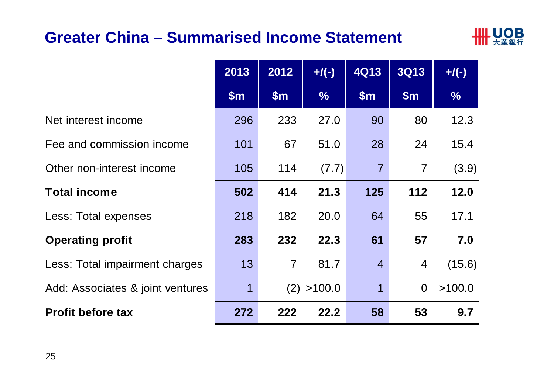#### **Greater China – Summarised Income Statement**



|                                  | 2013          | 2012           | $+$ /(-)      | <b>4Q13</b>    | <b>3Q13</b>    | $+$ /(-)      |
|----------------------------------|---------------|----------------|---------------|----------------|----------------|---------------|
|                                  | $\mathsf{Sm}$ | $\mathsf{Sm}$  | $\frac{9}{6}$ | \$m\$          | \$m\$          | $\frac{9}{6}$ |
| Net interest income              | 296           | 233            | 27.0          | 90             | 80             | 12.3          |
| Fee and commission income        | 101           | 67             | 51.0          | 28             | 24             | 15.4          |
| Other non-interest income        | 105           | 114            | (7.7)         | $\overline{7}$ | $\overline{7}$ | (3.9)         |
| <b>Total income</b>              | 502           | 414            | 21.3          | 125            | 112            | 12.0          |
| Less: Total expenses             | 218           | 182            | 20.0          | 64             | 55             | 17.1          |
| <b>Operating profit</b>          | 283           | 232            | 22.3          | 61             | 57             | 7.0           |
| Less: Total impairment charges   | 13            | $\overline{7}$ | 81.7          | $\overline{4}$ | $\overline{4}$ | (15.6)        |
| Add: Associates & joint ventures | 1             |                | (2) > 100.0   | $\mathbf 1$    | $\Omega$       | >100.0        |
| <b>Profit before tax</b>         | 272           | 222            | 22.2          | 58             | 53             | 9.7           |